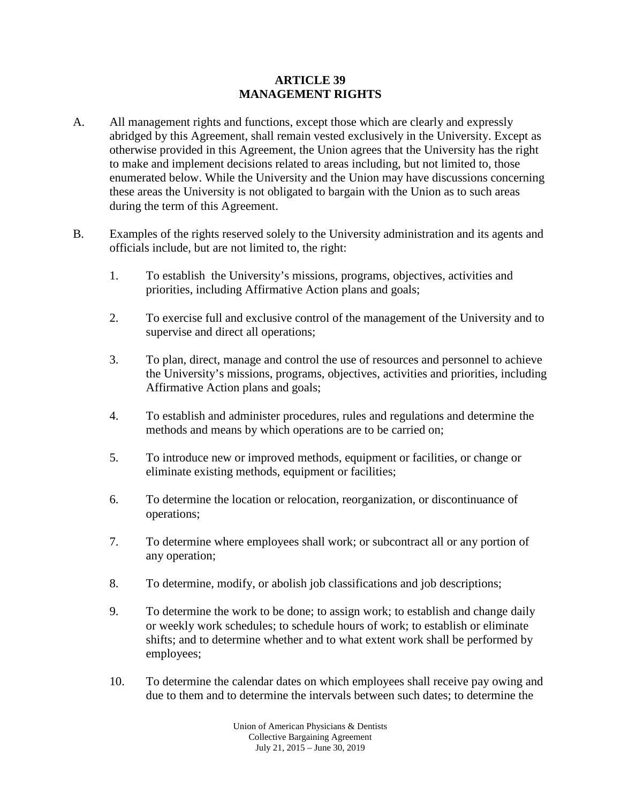## **ARTICLE 39 MANAGEMENT RIGHTS**

- A. All management rights and functions, except those which are clearly and expressly abridged by this Agreement, shall remain vested exclusively in the University. Except as otherwise provided in this Agreement, the Union agrees that the University has the right to make and implement decisions related to areas including, but not limited to, those enumerated below. While the University and the Union may have discussions concerning these areas the University is not obligated to bargain with the Union as to such areas during the term of this Agreement.
- B. Examples of the rights reserved solely to the University administration and its agents and officials include, but are not limited to, the right:
	- 1. To establish the University's missions, programs, objectives, activities and priorities, including Affirmative Action plans and goals;
	- 2. To exercise full and exclusive control of the management of the University and to supervise and direct all operations;
	- 3. To plan, direct, manage and control the use of resources and personnel to achieve the University's missions, programs, objectives, activities and priorities, including Affirmative Action plans and goals;
	- 4. To establish and administer procedures, rules and regulations and determine the methods and means by which operations are to be carried on;
	- 5. To introduce new or improved methods, equipment or facilities, or change or eliminate existing methods, equipment or facilities;
	- 6. To determine the location or relocation, reorganization, or discontinuance of operations;
	- 7. To determine where employees shall work; or subcontract all or any portion of any operation;
	- 8. To determine, modify, or abolish job classifications and job descriptions;
	- 9. To determine the work to be done; to assign work; to establish and change daily or weekly work schedules; to schedule hours of work; to establish or eliminate shifts; and to determine whether and to what extent work shall be performed by employees;
	- 10. To determine the calendar dates on which employees shall receive pay owing and due to them and to determine the intervals between such dates; to determine the